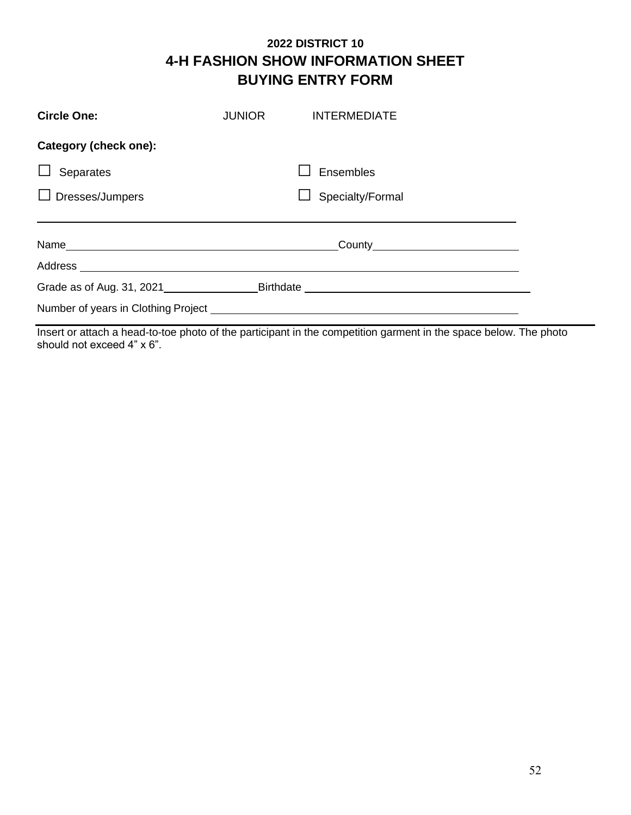## **2022 DISTRICT 10 4-H FASHION SHOW INFORMATION SHEET BUYING ENTRY FORM**

| <b>Circle One:</b>           |  | JUNIOR INTERMEDIATE                           |  |
|------------------------------|--|-----------------------------------------------|--|
| <b>Category (check one):</b> |  |                                               |  |
| Separates<br>ப               |  | Ensembles                                     |  |
| $\Box$ Dresses/Jumpers       |  | $\Box$ Specialty/Formal                       |  |
|                              |  | $\begin{array}{c} \text{Country} \end{array}$ |  |
|                              |  |                                               |  |
|                              |  |                                               |  |
|                              |  |                                               |  |

Insert or attach a head-to-toe photo of the participant in the competition garment in the space below. The photo should not exceed 4" x 6".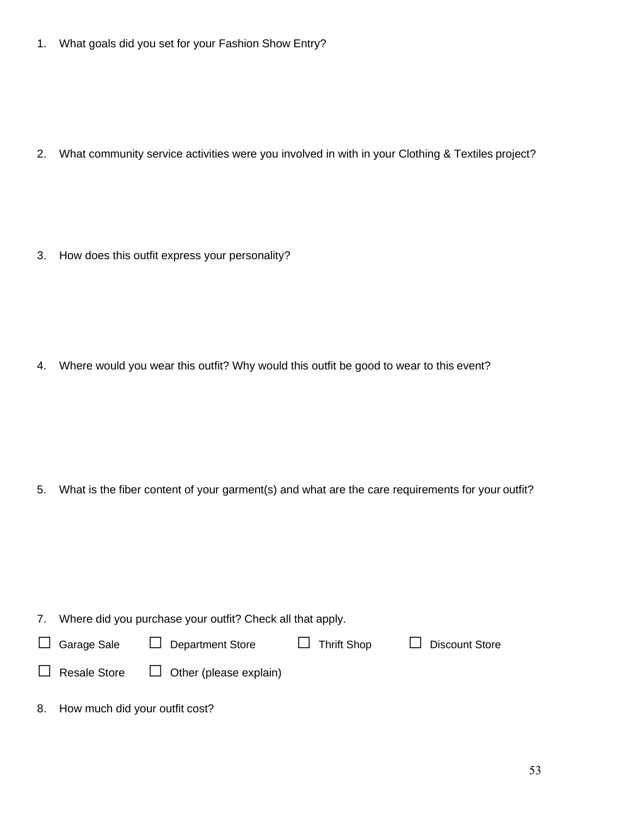1. What goals did you set for your Fashion Show Entry?

2. What community service activities were you involved in with in your Clothing & Textiles project?

3. How does this outfit express your personality?

4. Where would you wear this outfit? Why would this outfit be good to wear to this event?

5. What is the fiber content of your garment(s) and what are the care requirements for your outfit?

- 7. Where did you purchase your outfit? Check all that apply. □ Garage Sale □ Department Store □ Thrift Shop □ Discount Store  $\Box$  Resale Store  $\Box$  Other (please explain)
- 8. How much did your outfit cost?